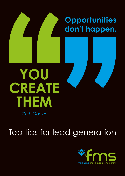

Top tips for lead generation

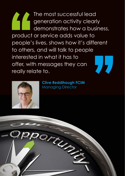The most successful lead generation activity clearly demonstrates how a business, product or service adds value to people's lives, shows how it's different to others, and will talk to people interested in what it has to offer, with messages they can really relate to.



**Clive Reddihough FCIM** Managing Director

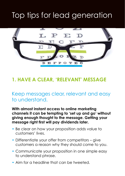# Top tips for lead generation



# **1. HAVE A CLEAR, 'RELEVANT' MESSAGE**

### Keep messages clear, relevant and easy to understand.

**With almost instant access to online marketing channels it can be tempting to 'set up and go' without giving enough thought to the message. Getting your message right first will pay dividends later.**

- Be clear on how your proposition adds value to customers' lives.
- Differentiate your offer from competitors give customers a reason why they should come to you.
- Communicate your proposition in one simple easy to understand phrase.
- Aim for a headline that can be tweeted.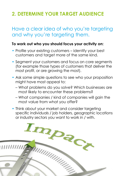# **2. DETERMINE YOUR TARGET AUDIENCE**

### Have a clear idea of who you're targeting and why you're targeting them.

#### **To work out who you should focus your activity on:**

- Profile your existing customers identify your best customers and target more of the same kind.
- Segment your customers and focus on core segments (for example those types of customers that deliver the most profit, or are growing the most).
- Ask some simple questions to see who your proposition might have most appeal to:
	- What problems do you solve? Which businesses are most likely to encounter these problems?
	- What companies / kind of companies will gain the most value from what you offer?
- Think about your market and consider targeting specific individuals / job holders, geographic locations

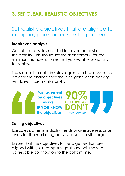# **3. SET CLEAR, REALISTIC OBJECTIVES**

# Set realistic objectives that are aligned to company goals before getting started.

#### **Breakeven analysis**

Calculate the sales needed to cover the cost of the activity. This should set the 'benchmark' for the minimum number of sales that you want your activity to achieve.

The smaller the uplift in sales required to breakeven the greater the chance that the lead generation activity will deliver incremental profit.



#### **Setting objectives**

Use sales patterns, industry trends or average response levels for the marketing activity to set realistic targets.

Ensure that the objectives for lead generation are aligned with your company goals and will make an achievable contribution to the bottom line.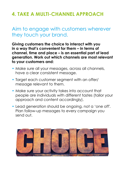# **4. TAKE A MULTI-CHANNEL APPROACH**

### Aim to engage with customers wherever they touch your brand.

**Giving customers the choice to interact with you in a way that's convenient for them – in terms of channel, time and place – is an essential part of lead generation. Work out which channels are most relevant to your customers and:**

- Make sure all your messages, across all channels, have a clear consistent message.
- Target each customer segment with an offer/ message relevant to them.
- Make sure your activity takes into account that people are individuals with different tastes (tailor your approach and content accordingly).
- Lead generation should be ongoing, not a 'one off'. Plan follow-up messages to every campaign you send out.

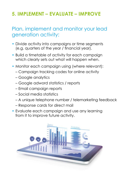# **5. IMPLEMENT – EVALUATE – IMPROVE**

# Plan, implement and monitor your lead generation activity:

- Divide activity into campaigns or time segments (e.g. quarters of the year / financial year).
- Build a timetable of activity for each campaign which clearly sets out what will happen when.
- Monitor each campaign using (where relevant):
	- Campaign tracking codes for online activity
	- Google analytics
	- Google adword statistics / reports
	- Email campaign reports
	- Social media statistics
	- A unique telephone number / telemarketing feedback
	- Response cards for direct mail
- Evaluate each campaign and use any learning from it to improve future activity.